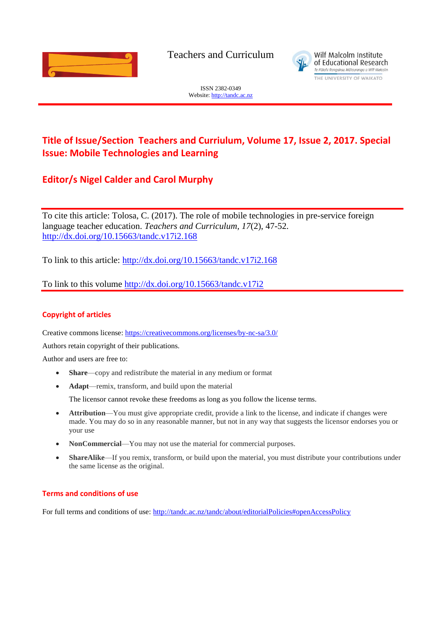

Teachers and Curriculum



ISSN 2382-0349 Website[: http://tandc.ac.nz](http://wje.org.nz/)

# **Title of Issue/Section Teachers and Curriulum, Volume 17, Issue 2, 2017. Special Issue: Mobile Technologies and Learning**

## **Editor/s Nigel Calder and Carol Murphy**

To cite this article: Tolosa, C. (2017). The role of mobile technologies in pre-service foreign language teacher education. *Teachers and Curriculum, 17*(2), 47-52. <http://dx.doi.org/10.15663/tandc.v17i2.168>

To link to this article:<http://dx.doi.org/10.15663/tandc.v17i2.168>

To link to this volume<http://dx.doi.org/10.15663/tandc.v17i2>

## **Copyright of articles**

Creative commons license:<https://creativecommons.org/licenses/by-nc-sa/3.0/>

Authors retain copyright of their publications.

Author and users are free to:

- **Share**—copy and redistribute the material in any medium or format
- **Adapt**—remix, transform, and build upon the material

The licensor cannot revoke these freedoms as long as you follow the license terms.

- **Attribution**—You must give appropriate credit, provide a link to the license, and indicate if changes were made. You may do so in any reasonable manner, but not in any way that suggests the licensor endorses you or your use
- **NonCommercial**—You may not use the material for commercial purposes.
- **ShareAlike**—If you remix, transform, or build upon the material, you must distribute your contributions under the same license as the original.

#### **Terms and conditions of use**

For full terms and conditions of use: <http://tandc.ac.nz/tandc/about/editorialPolicies#openAccessPolicy>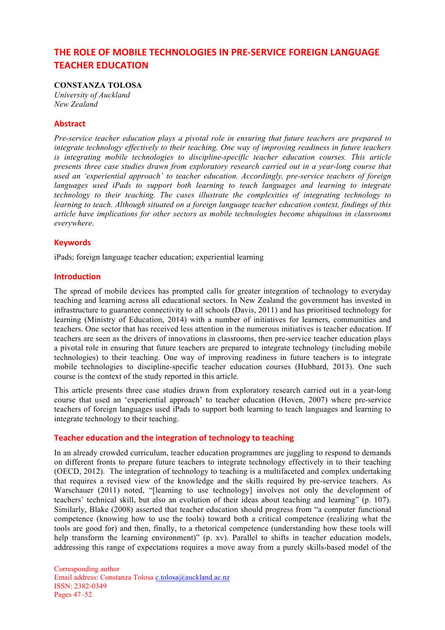## **THE ROLE OF MOBILE TECHNOLOGIES IN PRE-SERVICE FOREIGN LANGUAGE TEACHER EDUCATION**

## **CONSTANZA TOLOSA**

*University of Auckland New Zealand*

#### **Abstract**

*Pre-service teacher education plays a pivotal role in ensuring that future teachers are prepared to integrate technology effectively to their teaching. One way of improving readiness in future teachers is integrating mobile technologies to discipline-specific teacher education courses. This article presents three case studies drawn from exploratory research carried out in a year-long course that used an 'experiential approach' to teacher education. Accordingly, pre-service teachers of foreign*  languages used iPads to support both learning to teach languages and learning to integrate *technology to their teaching. The cases illustrate the complexities of integrating technology to learning to teach. Although situated on a foreign language teacher education context, findings of this article have implications for other sectors as mobile technologies become ubiquitous in classrooms everywhere.* 

### **Keywords**

iPads; foreign language teacher education; experiential learning

#### **Introduction**

The spread of mobile devices has prompted calls for greater integration of technology to everyday teaching and learning across all educational sectors. In New Zealand the government has invested in infrastructure to guarantee connectivity to all schools (Davis, 2011) and has prioritised technology for learning (Ministry of Education, 2014) with a number of initiatives for learners, communities and teachers. One sector that has received less attention in the numerous initiatives is teacher education. If teachers are seen as the drivers of innovations in classrooms, then pre-service teacher education plays a pivotal role in ensuring that future teachers are prepared to integrate technology (including mobile technologies) to their teaching. One way of improving readiness in future teachers is to integrate mobile technologies to discipline-specific teacher education courses (Hubbard, 2013). One such course is the context of the study reported in this article.

This article presents three case studies drawn from exploratory research carried out in a year-long course that used an 'experiential approach' to teacher education (Hoven, 2007) where pre-service teachers of foreign languages used iPads to support both learning to teach languages and learning to integrate technology to their teaching.

#### **Teacher education and the integration of technology to teaching**

In an already crowded curriculum, teacher education programmes are juggling to respond to demands on different fronts to prepare future teachers to integrate technology effectively in to their teaching (OECD, 2012). The integration of technology to teaching is a multifaceted and complex undertaking that requires a revised view of the knowledge and the skills required by pre-service teachers. As Warschauer (2011) noted, "[learning to use technology] involves not only the development of teachers' technical skill, but also an evolution of their ideas about teaching and learning" (p. 107). Similarly, Blake (2008) asserted that teacher education should progress from "a computer functional competence (knowing how to use the tools) toward both a critical competence (realizing what the tools are good for) and then, finally, to a rhetorical competence (understanding how these tools will help transform the learning environment)" (p. xv). Parallel to shifts in teacher education models, addressing this range of expectations requires a move away from a purely skills-based model of the

Corresponding author Email address: Constanza Tolosa c.tolosa@auckland.ac.nz ISSN: 2382-0349 Pages 47–52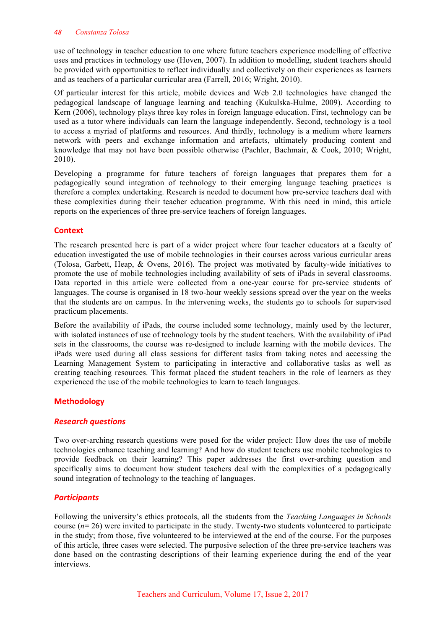use of technology in teacher education to one where future teachers experience modelling of effective uses and practices in technology use (Hoven, 2007). In addition to modelling, student teachers should be provided with opportunities to reflect individually and collectively on their experiences as learners and as teachers of a particular curricular area (Farrell, 2016; Wright, 2010).

Of particular interest for this article, mobile devices and Web 2.0 technologies have changed the pedagogical landscape of language learning and teaching (Kukulska-Hulme, 2009). According to Kern (2006), technology plays three key roles in foreign language education. First, technology can be used as a tutor where individuals can learn the language independently. Second, technology is a tool to access a myriad of platforms and resources. And thirdly, technology is a medium where learners network with peers and exchange information and artefacts, ultimately producing content and knowledge that may not have been possible otherwise (Pachler, Bachmair, & Cook, 2010; Wright, 2010).

Developing a programme for future teachers of foreign languages that prepares them for a pedagogically sound integration of technology to their emerging language teaching practices is therefore a complex undertaking. Research is needed to document how pre-service teachers deal with these complexities during their teacher education programme. With this need in mind, this article reports on the experiences of three pre-service teachers of foreign languages.

## **Context**

The research presented here is part of a wider project where four teacher educators at a faculty of education investigated the use of mobile technologies in their courses across various curricular areas (Tolosa, Garbett, Heap, & Ovens, 2016). The project was motivated by faculty-wide initiatives to promote the use of mobile technologies including availability of sets of iPads in several classrooms. Data reported in this article were collected from a one-year course for pre-service students of languages. The course is organised in 18 two-hour weekly sessions spread over the year on the weeks that the students are on campus. In the intervening weeks, the students go to schools for supervised practicum placements.

Before the availability of iPads, the course included some technology, mainly used by the lecturer, with isolated instances of use of technology tools by the student teachers. With the availability of iPad sets in the classrooms, the course was re-designed to include learning with the mobile devices. The iPads were used during all class sessions for different tasks from taking notes and accessing the Learning Management System to participating in interactive and collaborative tasks as well as creating teaching resources. This format placed the student teachers in the role of learners as they experienced the use of the mobile technologies to learn to teach languages.

## **Methodology**

## *Research questions*

Two over-arching research questions were posed for the wider project: How does the use of mobile technologies enhance teaching and learning? And how do student teachers use mobile technologies to provide feedback on their learning? This paper addresses the first over-arching question and specifically aims to document how student teachers deal with the complexities of a pedagogically sound integration of technology to the teaching of languages.

## *Participants*

Following the university's ethics protocols, all the students from the *Teaching Languages in Schools*  course (*n*= 26) were invited to participate in the study. Twenty-two students volunteered to participate in the study; from those, five volunteered to be interviewed at the end of the course. For the purposes of this article, three cases were selected. The purposive selection of the three pre-service teachers was done based on the contrasting descriptions of their learning experience during the end of the year interviews.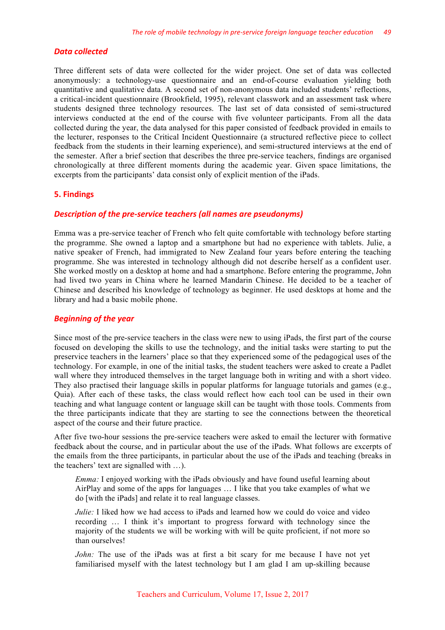#### *Data collected*

Three different sets of data were collected for the wider project. One set of data was collected anonymously: a technology-use questionnaire and an end-of-course evaluation yielding both quantitative and qualitative data. A second set of non-anonymous data included students' reflections, a critical-incident questionnaire (Brookfield, 1995), relevant classwork and an assessment task where students designed three technology resources. The last set of data consisted of semi-structured interviews conducted at the end of the course with five volunteer participants. From all the data collected during the year, the data analysed for this paper consisted of feedback provided in emails to the lecturer, responses to the Critical Incident Questionnaire (a structured reflective piece to collect feedback from the students in their learning experience), and semi-structured interviews at the end of the semester. After a brief section that describes the three pre-service teachers, findings are organised chronologically at three different moments during the academic year. Given space limitations, the excerpts from the participants' data consist only of explicit mention of the iPads.

#### **5. Findings**

#### **Description of the pre-service teachers (all names are pseudonyms)**

Emma was a pre-service teacher of French who felt quite comfortable with technology before starting the programme. She owned a laptop and a smartphone but had no experience with tablets. Julie, a native speaker of French, had immigrated to New Zealand four years before entering the teaching programme. She was interested in technology although did not describe herself as a confident user. She worked mostly on a desktop at home and had a smartphone. Before entering the programme, John had lived two years in China where he learned Mandarin Chinese. He decided to be a teacher of Chinese and described his knowledge of technology as beginner. He used desktops at home and the library and had a basic mobile phone.

#### *Beginning of the year*

Since most of the pre-service teachers in the class were new to using iPads, the first part of the course focused on developing the skills to use the technology, and the initial tasks were starting to put the preservice teachers in the learners' place so that they experienced some of the pedagogical uses of the technology. For example, in one of the initial tasks, the student teachers were asked to create a Padlet wall where they introduced themselves in the target language both in writing and with a short video. They also practised their language skills in popular platforms for language tutorials and games (e.g., Quia). After each of these tasks, the class would reflect how each tool can be used in their own teaching and what language content or language skill can be taught with those tools. Comments from the three participants indicate that they are starting to see the connections between the theoretical aspect of the course and their future practice.

After five two-hour sessions the pre-service teachers were asked to email the lecturer with formative feedback about the course, and in particular about the use of the iPads. What follows are excerpts of the emails from the three participants, in particular about the use of the iPads and teaching (breaks in the teachers' text are signalled with …).

*Emma:* I enjoyed working with the iPads obviously and have found useful learning about AirPlay and some of the apps for languages … I like that you take examples of what we do [with the iPads] and relate it to real language classes.

*Julie:* I liked how we had access to iPads and learned how we could do voice and video recording … I think it's important to progress forward with technology since the majority of the students we will be working with will be quite proficient, if not more so than ourselves!

*John:* The use of the iPads was at first a bit scary for me because I have not yet familiarised myself with the latest technology but I am glad I am up-skilling because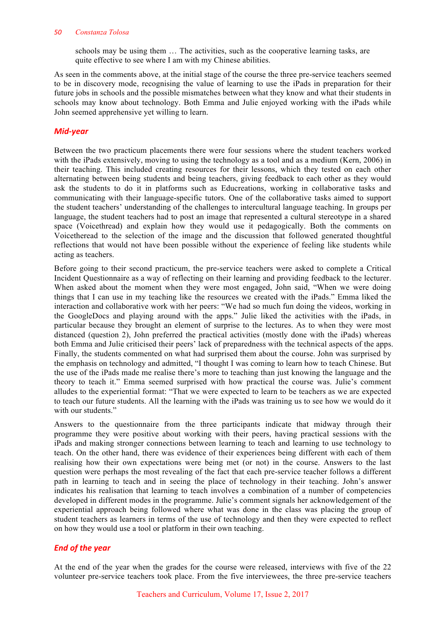#### *50 Constanza Tolosa*

schools may be using them … The activities, such as the cooperative learning tasks, are quite effective to see where I am with my Chinese abilities.

As seen in the comments above, at the initial stage of the course the three pre-service teachers seemed to be in discovery mode, recognising the value of learning to use the iPads in preparation for their future jobs in schools and the possible mismatches between what they know and what their students in schools may know about technology. Both Emma and Julie enjoyed working with the iPads while John seemed apprehensive yet willing to learn.

## *Mid-year*

Between the two practicum placements there were four sessions where the student teachers worked with the iPads extensively, moving to using the technology as a tool and as a medium (Kern, 2006) in their teaching. This included creating resources for their lessons, which they tested on each other alternating between being students and being teachers, giving feedback to each other as they would ask the students to do it in platforms such as Educreations, working in collaborative tasks and communicating with their language-specific tutors. One of the collaborative tasks aimed to support the student teachers' understanding of the challenges to intercultural language teaching. In groups per language, the student teachers had to post an image that represented a cultural stereotype in a shared space (Voicethread) and explain how they would use it pedagogically. Both the comments on Voicetheread to the selection of the image and the discussion that followed generated thoughtful reflections that would not have been possible without the experience of feeling like students while acting as teachers.

Before going to their second practicum, the pre-service teachers were asked to complete a Critical Incident Questionnaire as a way of reflecting on their learning and providing feedback to the lecturer. When asked about the moment when they were most engaged, John said, "When we were doing things that I can use in my teaching like the resources we created with the iPads." Emma liked the interaction and collaborative work with her peers: "We had so much fun doing the videos, working in the GoogleDocs and playing around with the apps." Julie liked the activities with the iPads, in particular because they brought an element of surprise to the lectures. As to when they were most distanced (question 2), John preferred the practical activities (mostly done with the iPads) whereas both Emma and Julie criticised their peers' lack of preparedness with the technical aspects of the apps. Finally, the students commented on what had surprised them about the course. John was surprised by the emphasis on technology and admitted, "I thought I was coming to learn how to teach Chinese. But the use of the iPads made me realise there's more to teaching than just knowing the language and the theory to teach it." Emma seemed surprised with how practical the course was. Julie's comment alludes to the experiential format: "That we were expected to learn to be teachers as we are expected to teach our future students. All the learning with the iPads was training us to see how we would do it with our students."

Answers to the questionnaire from the three participants indicate that midway through their programme they were positive about working with their peers, having practical sessions with the iPads and making stronger connections between learning to teach and learning to use technology to teach. On the other hand, there was evidence of their experiences being different with each of them realising how their own expectations were being met (or not) in the course. Answers to the last question were perhaps the most revealing of the fact that each pre-service teacher follows a different path in learning to teach and in seeing the place of technology in their teaching. John's answer indicates his realisation that learning to teach involves a combination of a number of competencies developed in different modes in the programme. Julie's comment signals her acknowledgement of the experiential approach being followed where what was done in the class was placing the group of student teachers as learners in terms of the use of technology and then they were expected to reflect on how they would use a tool or platform in their own teaching.

## *End of the year*

At the end of the year when the grades for the course were released, interviews with five of the 22 volunteer pre-service teachers took place. From the five interviewees, the three pre-service teachers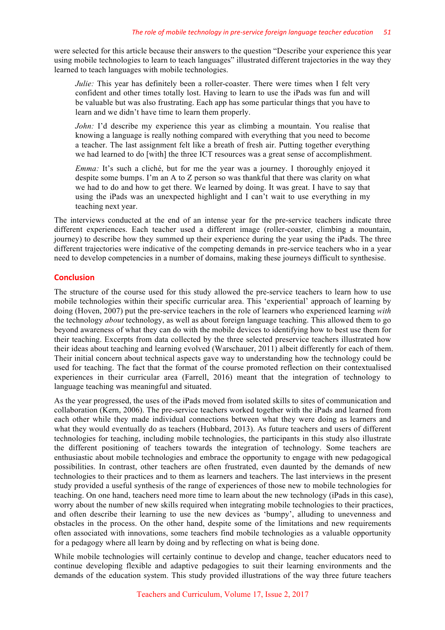were selected for this article because their answers to the question "Describe your experience this year using mobile technologies to learn to teach languages" illustrated different trajectories in the way they learned to teach languages with mobile technologies.

*Julie:* This year has definitely been a roller-coaster. There were times when I felt very confident and other times totally lost. Having to learn to use the iPads was fun and will be valuable but was also frustrating. Each app has some particular things that you have to learn and we didn't have time to learn them properly.

*John:* I'd describe my experience this year as climbing a mountain. You realise that knowing a language is really nothing compared with everything that you need to become a teacher. The last assignment felt like a breath of fresh air. Putting together everything we had learned to do [with] the three ICT resources was a great sense of accomplishment.

*Emma:* It's such a cliché, but for me the year was a journey. I thoroughly enjoyed it despite some bumps. I'm an A to Z person so was thankful that there was clarity on what we had to do and how to get there. We learned by doing. It was great. I have to say that using the iPads was an unexpected highlight and I can't wait to use everything in my teaching next year.

The interviews conducted at the end of an intense year for the pre-service teachers indicate three different experiences. Each teacher used a different image (roller-coaster, climbing a mountain, journey) to describe how they summed up their experience during the year using the iPads. The three different trajectories were indicative of the competing demands in pre-service teachers who in a year need to develop competencies in a number of domains, making these journeys difficult to synthesise.

### **Conclusion**

The structure of the course used for this study allowed the pre-service teachers to learn how to use mobile technologies within their specific curricular area. This 'experiential' approach of learning by doing (Hoven, 2007) put the pre-service teachers in the role of learners who experienced learning *with* the technology *about* technology, as well as about foreign language teaching. This allowed them to go beyond awareness of what they can do with the mobile devices to identifying how to best use them for their teaching. Excerpts from data collected by the three selected preservice teachers illustrated how their ideas about teaching and learning evolved (Warschauer, 2011) albeit differently for each of them. Their initial concern about technical aspects gave way to understanding how the technology could be used for teaching. The fact that the format of the course promoted reflection on their contextualised experiences in their curricular area (Farrell, 2016) meant that the integration of technology to language teaching was meaningful and situated.

As the year progressed, the uses of the iPads moved from isolated skills to sites of communication and collaboration (Kern, 2006). The pre-service teachers worked together with the iPads and learned from each other while they made individual connections between what they were doing as learners and what they would eventually do as teachers (Hubbard, 2013). As future teachers and users of different technologies for teaching, including mobile technologies, the participants in this study also illustrate the different positioning of teachers towards the integration of technology. Some teachers are enthusiastic about mobile technologies and embrace the opportunity to engage with new pedagogical possibilities. In contrast, other teachers are often frustrated, even daunted by the demands of new technologies to their practices and to them as learners and teachers. The last interviews in the present study provided a useful synthesis of the range of experiences of those new to mobile technologies for teaching. On one hand, teachers need more time to learn about the new technology (iPads in this case), worry about the number of new skills required when integrating mobile technologies to their practices, and often describe their learning to use the new devices as 'bumpy', alluding to unevenness and obstacles in the process. On the other hand, despite some of the limitations and new requirements often associated with innovations, some teachers find mobile technologies as a valuable opportunity for a pedagogy where all learn by doing and by reflecting on what is being done.

While mobile technologies will certainly continue to develop and change, teacher educators need to continue developing flexible and adaptive pedagogies to suit their learning environments and the demands of the education system. This study provided illustrations of the way three future teachers